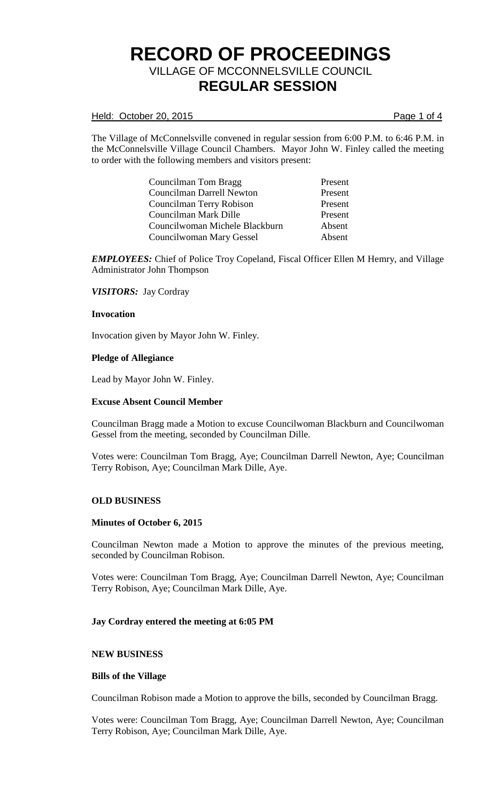## Held: October 20, 2015 **Page 1 of 4**

The Village of McConnelsville convened in regular session from 6:00 P.M. to 6:46 P.M. in the McConnelsville Village Council Chambers. Mayor John W. Finley called the meeting to order with the following members and visitors present:

| Councilman Tom Bragg             | Present |
|----------------------------------|---------|
| <b>Councilman Darrell Newton</b> | Present |
| Councilman Terry Robison         | Present |
| Councilman Mark Dille            | Present |
| Councilwoman Michele Blackburn   | Absent  |
| Councilwoman Mary Gessel         | Absent  |

*EMPLOYEES:* Chief of Police Troy Copeland, Fiscal Officer Ellen M Hemry, and Village Administrator John Thompson

*VISITORS:* Jay Cordray

## **Invocation**

Invocation given by Mayor John W. Finley.

## **Pledge of Allegiance**

Lead by Mayor John W. Finley.

#### **Excuse Absent Council Member**

Councilman Bragg made a Motion to excuse Councilwoman Blackburn and Councilwoman Gessel from the meeting, seconded by Councilman Dille.

Votes were: Councilman Tom Bragg, Aye; Councilman Darrell Newton, Aye; Councilman Terry Robison, Aye; Councilman Mark Dille, Aye.

#### **OLD BUSINESS**

#### **Minutes of October 6, 2015**

Councilman Newton made a Motion to approve the minutes of the previous meeting, seconded by Councilman Robison.

Votes were: Councilman Tom Bragg, Aye; Councilman Darrell Newton, Aye; Councilman Terry Robison, Aye; Councilman Mark Dille, Aye.

## **Jay Cordray entered the meeting at 6:05 PM**

#### **NEW BUSINESS**

#### **Bills of the Village**

Councilman Robison made a Motion to approve the bills, seconded by Councilman Bragg.

Votes were: Councilman Tom Bragg, Aye; Councilman Darrell Newton, Aye; Councilman Terry Robison, Aye; Councilman Mark Dille, Aye.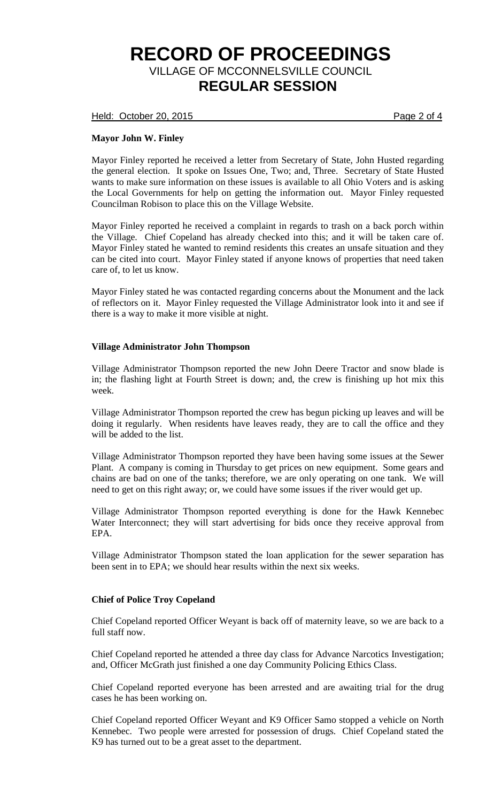Held: October 20, 2015 **Page 2 of 4** 

# **Mayor John W. Finley**

Mayor Finley reported he received a letter from Secretary of State, John Husted regarding the general election. It spoke on Issues One, Two; and, Three. Secretary of State Husted wants to make sure information on these issues is available to all Ohio Voters and is asking the Local Governments for help on getting the information out. Mayor Finley requested Councilman Robison to place this on the Village Website.

Mayor Finley reported he received a complaint in regards to trash on a back porch within the Village. Chief Copeland has already checked into this; and it will be taken care of. Mayor Finley stated he wanted to remind residents this creates an unsafe situation and they can be cited into court. Mayor Finley stated if anyone knows of properties that need taken care of, to let us know.

Mayor Finley stated he was contacted regarding concerns about the Monument and the lack of reflectors on it. Mayor Finley requested the Village Administrator look into it and see if there is a way to make it more visible at night.

# **Village Administrator John Thompson**

Village Administrator Thompson reported the new John Deere Tractor and snow blade is in; the flashing light at Fourth Street is down; and, the crew is finishing up hot mix this week.

Village Administrator Thompson reported the crew has begun picking up leaves and will be doing it regularly. When residents have leaves ready, they are to call the office and they will be added to the list.

Village Administrator Thompson reported they have been having some issues at the Sewer Plant. A company is coming in Thursday to get prices on new equipment. Some gears and chains are bad on one of the tanks; therefore, we are only operating on one tank. We will need to get on this right away; or, we could have some issues if the river would get up.

Village Administrator Thompson reported everything is done for the Hawk Kennebec Water Interconnect; they will start advertising for bids once they receive approval from EPA.

Village Administrator Thompson stated the loan application for the sewer separation has been sent in to EPA; we should hear results within the next six weeks.

# **Chief of Police Troy Copeland**

Chief Copeland reported Officer Weyant is back off of maternity leave, so we are back to a full staff now.

Chief Copeland reported he attended a three day class for Advance Narcotics Investigation; and, Officer McGrath just finished a one day Community Policing Ethics Class.

Chief Copeland reported everyone has been arrested and are awaiting trial for the drug cases he has been working on.

Chief Copeland reported Officer Weyant and K9 Officer Samo stopped a vehicle on North Kennebec. Two people were arrested for possession of drugs. Chief Copeland stated the K9 has turned out to be a great asset to the department.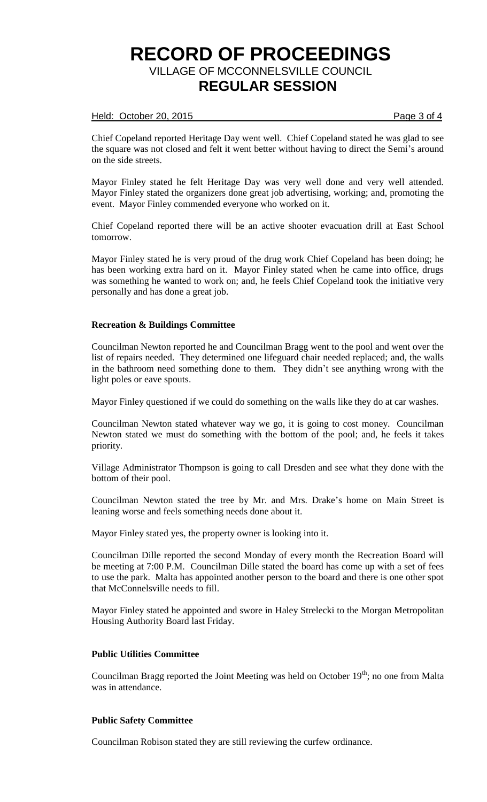## Held: October 20, 2015 **Page 3 of 4**

Chief Copeland reported Heritage Day went well. Chief Copeland stated he was glad to see the square was not closed and felt it went better without having to direct the Semi's around on the side streets.

Mayor Finley stated he felt Heritage Day was very well done and very well attended. Mayor Finley stated the organizers done great job advertising, working; and, promoting the event. Mayor Finley commended everyone who worked on it.

Chief Copeland reported there will be an active shooter evacuation drill at East School tomorrow.

Mayor Finley stated he is very proud of the drug work Chief Copeland has been doing; he has been working extra hard on it. Mayor Finley stated when he came into office, drugs was something he wanted to work on; and, he feels Chief Copeland took the initiative very personally and has done a great job.

## **Recreation & Buildings Committee**

Councilman Newton reported he and Councilman Bragg went to the pool and went over the list of repairs needed. They determined one lifeguard chair needed replaced; and, the walls in the bathroom need something done to them. They didn't see anything wrong with the light poles or eave spouts.

Mayor Finley questioned if we could do something on the walls like they do at car washes.

Councilman Newton stated whatever way we go, it is going to cost money. Councilman Newton stated we must do something with the bottom of the pool; and, he feels it takes priority.

Village Administrator Thompson is going to call Dresden and see what they done with the bottom of their pool.

Councilman Newton stated the tree by Mr. and Mrs. Drake's home on Main Street is leaning worse and feels something needs done about it.

Mayor Finley stated yes, the property owner is looking into it.

Councilman Dille reported the second Monday of every month the Recreation Board will be meeting at 7:00 P.M. Councilman Dille stated the board has come up with a set of fees to use the park. Malta has appointed another person to the board and there is one other spot that McConnelsville needs to fill.

Mayor Finley stated he appointed and swore in Haley Strelecki to the Morgan Metropolitan Housing Authority Board last Friday.

# **Public Utilities Committee**

Councilman Bragg reported the Joint Meeting was held on October  $19<sup>th</sup>$ ; no one from Malta was in attendance.

# **Public Safety Committee**

Councilman Robison stated they are still reviewing the curfew ordinance.